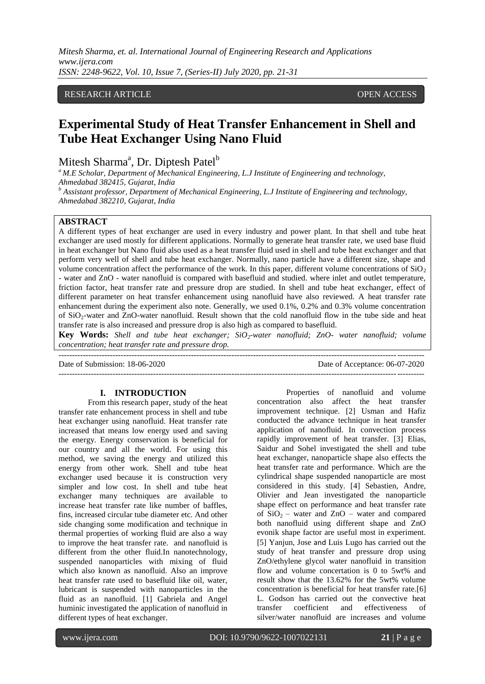# RESEARCH ARTICLE OPEN ACCESS

# **Experimental Study of Heat Transfer Enhancement in Shell and Tube Heat Exchanger Using Nano Fluid**

Mitesh Sharma<sup>a</sup>, Dr. Diptesh Patel<sup>b</sup>

*<sup>a</sup>M.E Scholar, Department of Mechanical Engineering, L.J Institute of Engineering and technology, Ahmedabad 382415, Gujarat, India*

*<sup>b</sup> Assistant professor, Department of Mechanical Engineering, L.J Institute of Engineering and technology, Ahmedabad 382210, Gujarat, India*

# **ABSTRACT**

A different types of heat exchanger are used in every industry and power plant. In that shell and tube heat exchanger are used mostly for different applications. Normally to generate heat transfer rate, we used base fluid in heat exchanger but Nano fluid also used as a heat transfer fluid used in shell and tube heat exchanger and that perform very well of shell and tube heat exchanger. Normally, nano particle have a different size, shape and volume concentration affect the performance of the work. In this paper, different volume concentrations of  $SiO<sub>2</sub>$ - water and ZnO - water nanofluid is compared with basefluid and studied. where inlet and outlet temperature, friction factor, heat transfer rate and pressure drop are studied. In shell and tube heat exchanger, effect of different parameter on heat transfer enhancement using nanofluid have also reviewed. A heat transfer rate enhancement during the experiment also note. Generally, we used 0.1%, 0.2% and 0.3% volume concentration of SiO2-water and ZnO-water nanofluid. Result shown that the cold nanofluid flow in the tube side and heat transfer rate is also increased and pressure drop is also high as compared to basefluid.

**Key Words:** *Shell and tube heat exchanger; SiO2-water nanofluid; ZnO- water nanofluid; volume concentration; heat transfer rate and pressure drop.* 

Date of Submission: 18-06-2020 Date of Acceptance: 06-07-2020 ---------------------------------------------------------------------------------------------------------------------------------------

#### **I. INTRODUCTION**

From this research paper, study of the heat transfer rate enhancement process in shell and tube heat exchanger using nanofluid. Heat transfer rate increased that means low energy used and saving the energy. Energy conservation is beneficial for our country and all the world. For using this method, we saving the energy and utilized this energy from other work. Shell and tube heat exchanger used because it is construction very simpler and low cost. In shell and tube heat exchanger many techniques are available to increase heat transfer rate like number of baffles, fins, increased circular tube diameter etc. And other side changing some modification and technique in thermal properties of working fluid are also a way to improve the heat transfer rate. and nanofluid is different from the other fluid.In nanotechnology, suspended nanoparticles with mixing of fluid which also known as nanofluid. Also an improve heat transfer rate used to basefluid like oil, water, lubricant is suspended with nanoparticles in the fluid as an nanofluid. [1] Gabriela and Angel huminic investigated the application of nanofluid in different types of heat exchanger.

Properties of nanofluid and volume concentration also affect the heat transfer improvement technique. [2] Usman and Hafiz conducted the advance technique in heat transfer application of nanofluid. In convection process rapidly improvement of heat transfer. [3] Elias, Saidur and Sohel investigated the shell and tube heat exchanger, nanoparticle shape also effects the heat transfer rate and performance. Which are the cylindrical shape suspended nanoparticle are most considered in this study. [4] Sebastien, Andre, Olivier and Jean investigated the nanoparticle shape effect on performance and heat transfer rate of  $SiO_2$  – water and ZnO – water and compared both nanofluid using different shape and ZnO evonik shape factor are useful most in experiment. [5] Yanjun, Jose and Luis Lugo has carried out the study of heat transfer and pressure drop using ZnO/ethylene glycol water nanofluid in transition flow and volume concertation is 0 to 5wt% and result show that the 13.62% for the 5wt% volume concentration is beneficial for heat transfer rate.[6] L. Godson has carried out the convective heat transfer coefficient and effectiveness of silver/water nanofluid are increases and volume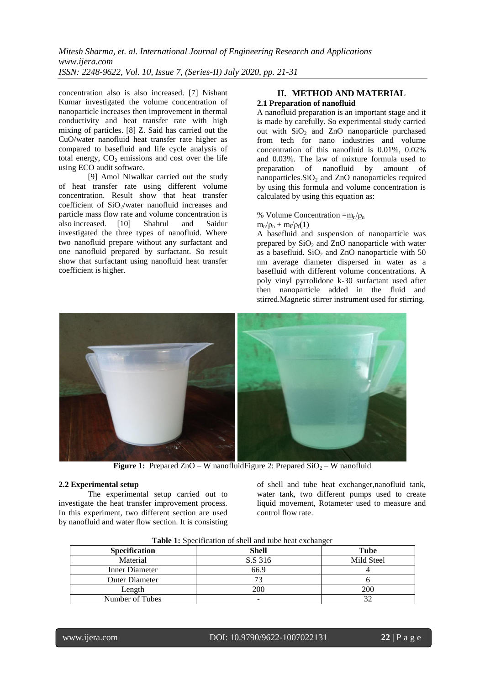concentration also is also increased. [7] Nishant Kumar investigated the volume concentration of nanoparticle increases then improvement in thermal conductivity and heat transfer rate with high mixing of particles. [8] Z. Said has carried out the CuO/water nanofluid heat transfer rate higher as compared to basefluid and life cycle analysis of total energy,  $CO<sub>2</sub>$  emissions and cost over the life using ECO audit software.

[9] Amol Niwalkar carried out the study of heat transfer rate using different volume concentration. Result show that heat transfer coefficient of  $SiO<sub>2</sub>/water$  nanofluid increases and particle mass flow rate and volume concentration is also increased. [10] Shahrul and Saidur investigated the three types of nanofluid. Where two nanofluid prepare without any surfactant and one nanofluid prepared by surfactant. So result show that surfactant using nanofluid heat transfer coefficient is higher.

# **II. METHOD AND MATERIAL 2.1 Preparation of nanofluid**

A nanofluid preparation is an important stage and it is made by carefully. So experimental study carried out with  $SiO<sub>2</sub>$  and  $ZnO$  nanoparticle purchased from tech for nano industries and volume concentration of this nanofluid is 0.01%, 0.02% and 0.03%. The law of mixture formula used to preparation of nanofluid by amount of nanoparticles. $SiO<sub>2</sub>$  and ZnO nanoparticles required by using this formula and volume concentration is calculated by using this equation as:

% Volume Concentration = $\frac{m_n}{\rho_n}$ 

 $m_n/\rho_n + m_f/\rho_f(1)$ 

A basefluid and suspension of nanoparticle was prepared by  $SiO<sub>2</sub>$  and ZnO nanoparticle with water as a basefluid.  $SiO<sub>2</sub>$  and ZnO nanoparticle with 50 nm average diameter dispersed in water as a basefluid with different volume concentrations. A poly vinyl pyrrolidone k-30 surfactant used after then nanoparticle added in the fluid and stirred.Magnetic stirrer instrument used for stirring.



**Figure 1:** Prepared ZnO – W nanofluidFigure 2: Prepared  $SiO<sub>2</sub>$  – W nanofluid

# **2.2 Experimental setup**

The experimental setup carried out to investigate the heat transfer improvement process. In this experiment, two different section are used by nanofluid and water flow section. It is consisting of shell and tube heat exchanger,nanofluid tank, water tank, two different pumps used to create liquid movement, Rotameter used to measure and control flow rate.

|                       |                          | -          |
|-----------------------|--------------------------|------------|
| <b>Specification</b>  | <b>Shell</b>             | Tube       |
| Material              | S.S 316                  | Mild Steel |
| Inner Diameter        | 66.9                     |            |
| <b>Outer Diameter</b> | 72                       |            |
| Length                | 200                      | <b>200</b> |
| Number of Tubes       | $\overline{\phantom{a}}$ | 32         |

**Table 1:** Specification of shell and tube heat exchanger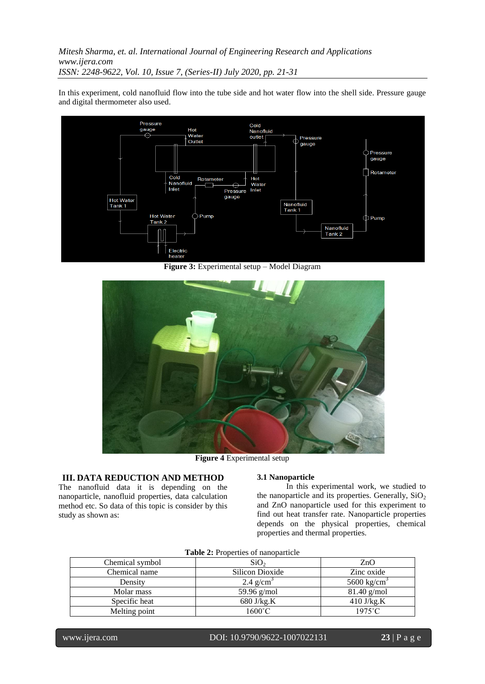In this experiment, cold nanofluid flow into the tube side and hot water flow into the shell side. Pressure gauge and digital thermometer also used.



**Figure 3:** Experimental setup – Model Diagram



**Figure 4** Experimental setup

# **III. DATA REDUCTION AND METHOD**

The nanofluid data it is depending on the nanoparticle, nanofluid properties, data calculation method etc. So data of this topic is consider by this study as shown as:

# **3.1 Nanoparticle**

In this experimental work, we studied to the nanoparticle and its properties. Generally,  $SiO<sub>2</sub>$ and ZnO nanoparticle used for this experiment to find out heat transfer rate. Nanoparticle properties depends on the physical properties, chemical properties and thermal properties.

| Chemical symbol | SiO <sub>2</sub>        | ZnO                     |
|-----------------|-------------------------|-------------------------|
| Chemical name   | Silicon Dioxide         | Zinc oxide              |
| Density         | $2.4$ g/cm <sup>3</sup> | 5600 kg/cm <sup>3</sup> |
| Molar mass      | 59.96 $g/mol$           | $81.40$ g/mol           |
| Specific heat   | $680$ J/kg.K            | $410$ J/kg.K            |
| Melting point   | 1600°C                  | 1975°C                  |

| <b>Table 2:</b> Properties of nanoparticle |
|--------------------------------------------|
|--------------------------------------------|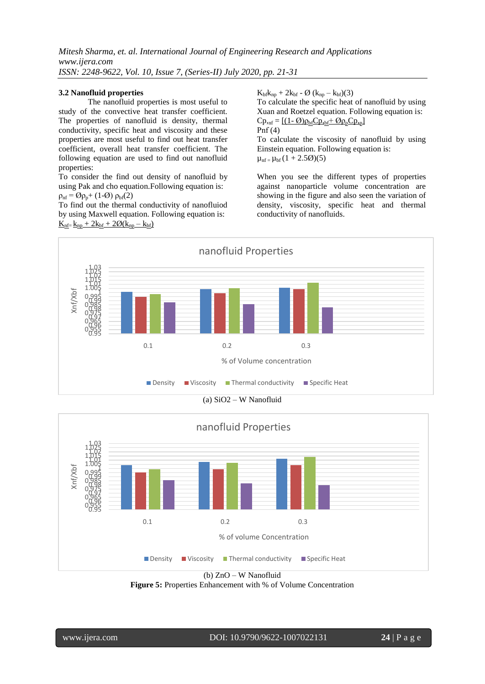#### **3.2 Nanofluid properties**

The nanofluid properties is most useful to study of the convective heat transfer coefficient. The properties of nanofluid is density, thermal conductivity, specific heat and viscosity and these properties are most useful to find out heat transfer coefficient, overall heat transfer coefficient. The following equation are used to find out nanofluid properties:

To consider the find out density of nanofluid by using Pak and cho equation.Following equation is:  $\rho_{\text{nf}} = \mathcal{O}\rho_{\text{p}} + (1-\mathcal{O}) \rho_{\text{bf}}(2)$ 

To find out the thermal conductivity of nanofluiod by using Maxwell equation. Following equation is:  $K_{\text{nf}} = k_{\text{np}} + 2k_{\text{bf}} + 2\emptyset(k_{\text{np}} - k_{\text{bf}})$ 

 $K_{\text{bfnp}} + 2k_{\text{bf}} - \emptyset$  ( $k_{\text{np}} - k_{\text{bf}}$ )(3) To calculate the specific heat of nanofluid by using Xuan and Roetzel equation. Following equation is:  $\text{Cp}_{\text{inf}} = \frac{\left[(1-\emptyset)\rho_{\text{bf}}Cp_{\text{def}} + \emptyset\rho_{\text{p}}Cp_{\text{op}}\right]}{P_{\text{inf}}P_{\text{inf}}}$ Ρnf (4) To calculate the viscosity of nanofluid by using Einstein equation. Following equation is:  $\mu_{\text{nf}} = \mu_{\text{bf}} (1 + 2.50)(5)$ 

When you see the different types of properties against nanoparticle volume concentration are showing in the figure and also seen the variation of density, viscosity, specific heat and thermal conductivity of nanofluids.





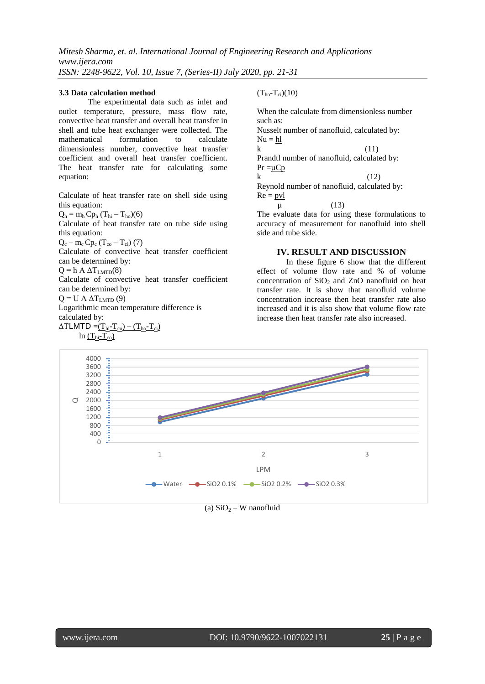#### **3.3 Data calculation method**

The experimental data such as inlet and outlet temperature, pressure, mass flow rate, convective heat transfer and overall heat transfer in shell and tube heat exchanger were collected. The mathematical formulation to calculate dimensionless number, convective heat transfer coefficient and overall heat transfer coefficient. The heat transfer rate for calculating some equation:

Calculate of heat transfer rate on shell side using this equation:

 $Q_h = m_h C p_h (T_{hi} - T_{ho})(6)$ 

Calculate of heat transfer rate on tube side using this equation:

 $Q_c - m_c C p_c (T_{co} - T_{ci})$  (7)

Calculate of convective heat transfer coefficient can be determined by:

 $Q = h A \Delta T_{\text{LMTD}}(8)$ 

Calculate of convective heat transfer coefficient can be determined by:

 $Q = U A \Delta T_{LMTD} (9)$ 

Logarithmic mean temperature difference is calculated by:

$$
\Delta TLMTD = \underbrace{(T_{hi} - T_{co}) - (T_{ho} - T_{ci})}_{\text{In } (\underline{T}_{hi} - \underline{T}_{co})}
$$

 $(T_{ho} - T_{ci})(10)$ 

When the calculate from dimensionless number such as:

Nusselt number of nanofluid, calculated by:  $Nu = hl$ k  $(11)$ Prandtl number of nanofluid, calculated by:  $Pr = \mu Cp$ k  $(12)$ Reynold number of nanofluid, calculated by:  $Re = pvl$ 

 $\mu$  (13)

The evaluate data for using these formulations to accuracy of measurement for nanofluid into shell side and tube side.

#### **IV. RESULT AND DISCUSSION**

In these figure 6 show that the different effect of volume flow rate and % of volume concentration of  $SiO<sub>2</sub>$  and ZnO nanofluid on heat transfer rate. It is show that nanofluid volume concentration increase then heat transfer rate also increased and it is also show that volume flow rate increase then heat transfer rate also increased.



(a)  $SiO<sub>2</sub> - W$  nanofluid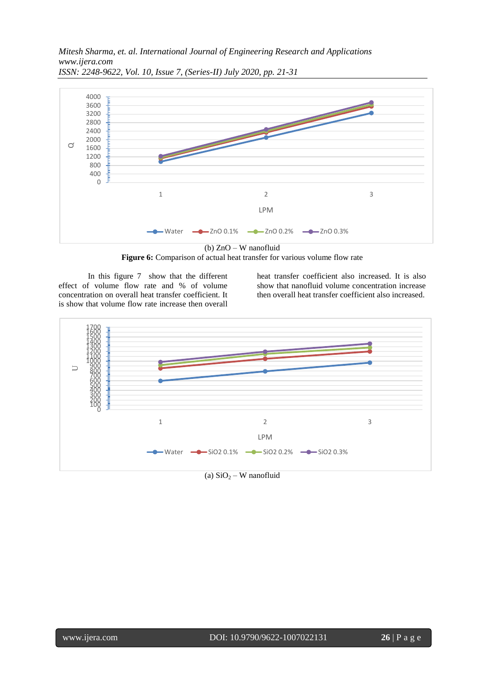*Mitesh Sharma, et. al. International Journal of Engineering Research and Applications www.ijera.com*



*ISSN: 2248-9622, Vol. 10, Issue 7, (Series-II) July 2020, pp. 21-31*

**Figure 6:** Comparison of actual heat transfer for various volume flow rate

In this figure 7 show that the different effect of volume flow rate and % of volume concentration on overall heat transfer coefficient. It is show that volume flow rate increase then overall

heat transfer coefficient also increased. It is also show that nanofluid volume concentration increase then overall heat transfer coefficient also increased.



(a)  $SiO<sub>2</sub> - W$  nanofluid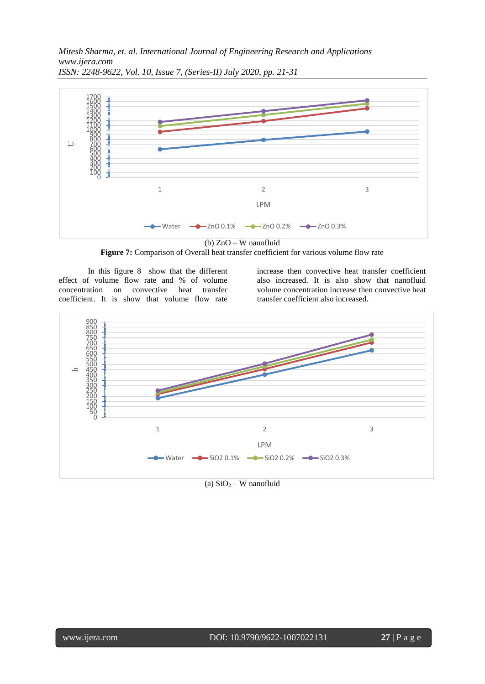

(b) ZnO – W nanofluid



In this figure 8 show that the different effect of volume flow rate and % of volume concentration on convective heat transfer coefficient. It is show that volume flow rate

increase then convective heat transfer coefficient also increased. It is also show that nanofluid volume concentration increase then convective heat transfer coefficient also increased.



(a)  $SiO<sub>2</sub> - W$  nanofluid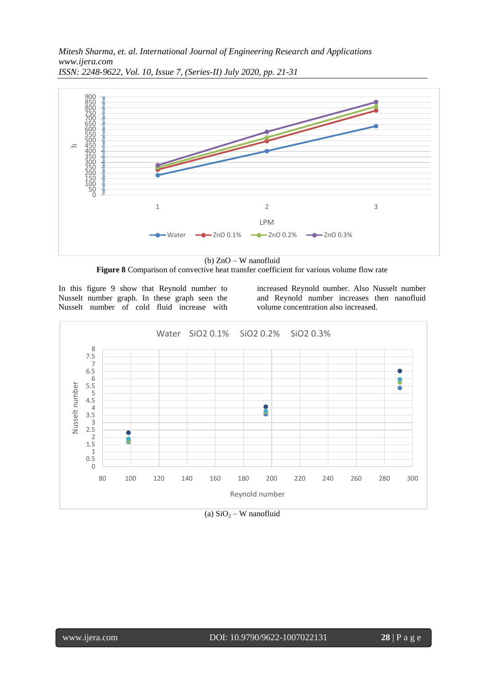

(b) ZnO – W nanofluid **Figure 8** Comparison of convective heat transfer coefficient for various volume flow rate

In this figure 9 show that Reynold number to Nusselt number graph. In these graph seen the Nusselt number of cold fluid increase with increased Reynold number. Also Nusselt number and Reynold number increases then nanofluid volume concentration also increased.



(a)  $SiO<sub>2</sub> - W$  nanofluid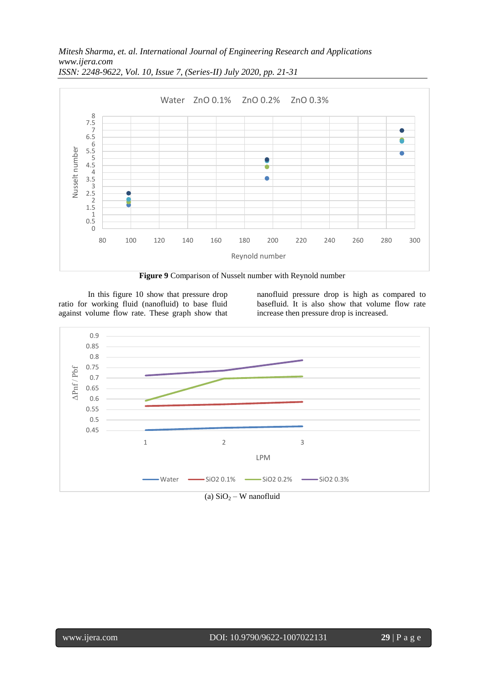

**Figure 9** Comparison of Nusselt number with Reynold number

In this figure 10 show that pressure drop ratio for working fluid (nanofluid) to base fluid against volume flow rate. These graph show that nanofluid pressure drop is high as compared to basefluid. It is also show that volume flow rate increase then pressure drop is increased.



(a)  $SiO<sub>2</sub> - W$  nanofluid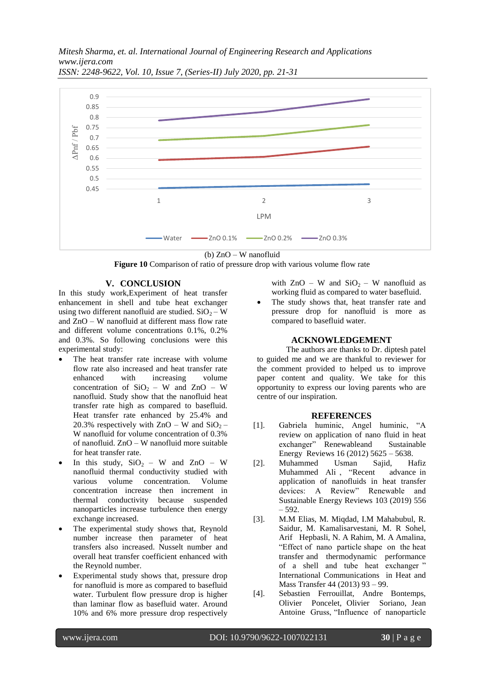*Mitesh Sharma, et. al. International Journal of Engineering Research and Applications www.ijera.com*



*ISSN: 2248-9622, Vol. 10, Issue 7, (Series-II) July 2020, pp. 21-31*

(b) ZnO – W nanofluid

**Figure 10** Comparison of ratio of pressure drop with various volume flow rate

# **V. CONCLUSION**

In this study work,Experiment of heat transfer enhancement in shell and tube heat exchanger using two different nanofluid are studied.  $SiO<sub>2</sub> - W$ and ZnO – W nanofluid at different mass flow rate and different volume concentrations 0.1%, 0.2% and 0.3%. So following conclusions were this experimental study:

- The heat transfer rate increase with volume flow rate also increased and heat transfer rate enhanced with increasing volume concentration of  $SiO_2 - W$  and  $ZnO - W$ nanofluid. Study show that the nanofluid heat transfer rate high as compared to basefluid. Heat transfer rate enhanced by 25.4% and 20.3% respectively with  $ZnO - W$  and  $SiO_2 -$ W nanofluid for volume concentration of 0.3% of nanofluid. ZnO – W nanofluid more suitable for heat transfer rate.
- In this study,  $SiO<sub>2</sub> W$  and  $ZnO W$ nanofluid thermal conductivity studied with various volume concentration. Volume concentration increase then increment in thermal conductivity because suspended nanoparticles increase turbulence then energy exchange increased.
- The experimental study shows that, Reynold number increase then parameter of heat transfers also increased. Nusselt number and overall heat transfer coefficient enhanced with the Reynold number.
- Experimental study shows that, pressure drop for nanofluid is more as compared to basefluid water. Turbulent flow pressure drop is higher than laminar flow as basefluid water. Around 10% and 6% more pressure drop respectively

with  $ZnO - W$  and  $SiO<sub>2</sub> - W$  nanofluid as working fluid as compared to water basefluid.

 The study shows that, heat transfer rate and pressure drop for nanofluid is more as compared to basefluid water.

#### **ACKNOWLEDGEMENT**

The authors are thanks to Dr. diptesh patel to guided me and we are thankful to reviewer for the comment provided to helped us to improve paper content and quality. We take for this opportunity to express our loving parents who are centre of our inspiration.

#### **REFERENCES**

- [1]. Gabriela huminic, Angel huminic, "A review on application of nano fluid in heat exchanger" Renewableand Sustainable Energy Reviews 16 (2012) 5625 – 5638.
- [2]. Muhammed Usman Sajid, Hafiz Muhammed Ali , "Recent advance in application of nanofluids in heat transfer devices: A Review" Renewable and Sustainable Energy Reviews 103 (2019) 556 – 592.
- [3]. M.M Elias, M. Miqdad, I.M Mahabubul, R. Saidur, M. Kamalisarvestani, M. R Sohel, Arif Hepbasli, N. A Rahim, M. A Amalina, "Effect of nano particle shape on the heat transfer and thermodynamic performance of a shell and tube heat exchanger " International Communications in Heat and Mass Transfer 44 (2013) 93 – 99.
- [4]. Sebastien Ferrouillat, Andre Bontemps, Olivier Poncelet, Olivier Soriano, Jean Antoine Gruss, "Influence of nanoparticle